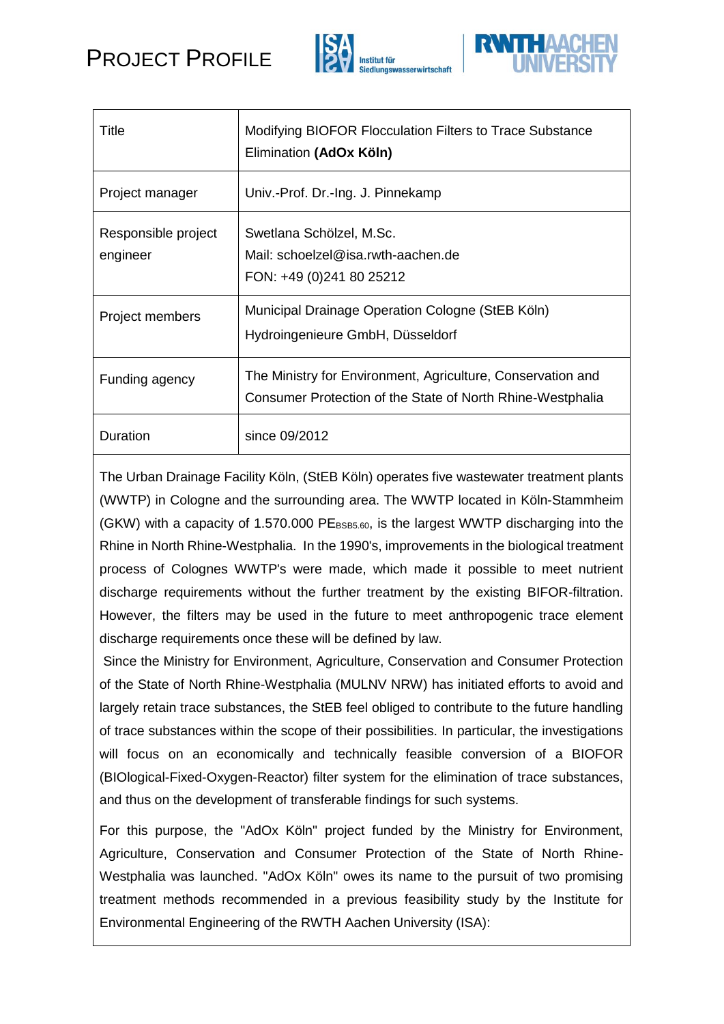



| Title                           | Modifying BIOFOR Flocculation Filters to Trace Substance<br>Elimination (AdOx Köln)                                       |
|---------------------------------|---------------------------------------------------------------------------------------------------------------------------|
| Project manager                 | Univ.-Prof. Dr.-Ing. J. Pinnekamp                                                                                         |
| Responsible project<br>engineer | Swetlana Schölzel, M.Sc.<br>Mail: schoelzel@isa.rwth-aachen.de<br>FON: +49 (0)241 80 25212                                |
| Project members                 | Municipal Drainage Operation Cologne (StEB Köln)<br>Hydroingenieure GmbH, Düsseldorf                                      |
| Funding agency                  | The Ministry for Environment, Agriculture, Conservation and<br>Consumer Protection of the State of North Rhine-Westphalia |
| Duration                        | since 09/2012                                                                                                             |

The Urban Drainage Facility Köln, (StEB Köln) operates five wastewater treatment plants (WWTP) in Cologne and the surrounding area. The WWTP located in Köln-Stammheim (GKW) with a capacity of 1.570.000  $PE_{BSB5.60}$ , is the largest WWTP discharging into the Rhine in North Rhine-Westphalia. In the 1990's, improvements in the biological treatment process of Colognes WWTP's were made, which made it possible to meet nutrient discharge requirements without the further treatment by the existing BIFOR-filtration. However, the filters may be used in the future to meet anthropogenic trace element discharge requirements once these will be defined by law.

Since the Ministry for Environment, Agriculture, Conservation and Consumer Protection of the State of North Rhine-Westphalia (MULNV NRW) has initiated efforts to avoid and largely retain trace substances, the StEB feel obliged to contribute to the future handling of trace substances within the scope of their possibilities. In particular, the investigations will focus on an economically and technically feasible conversion of a BIOFOR (BIOlogical-Fixed-Oxygen-Reactor) filter system for the elimination of trace substances, and thus on the development of transferable findings for such systems.

For this purpose, the "AdOx Köln" project funded by the Ministry for Environment, Agriculture, Conservation and Consumer Protection of the State of North Rhine-Westphalia was launched. "AdOx Köln" owes its name to the pursuit of two promising treatment methods recommended in a previous feasibility study by the Institute for Environmental Engineering of the RWTH Aachen University (ISA):